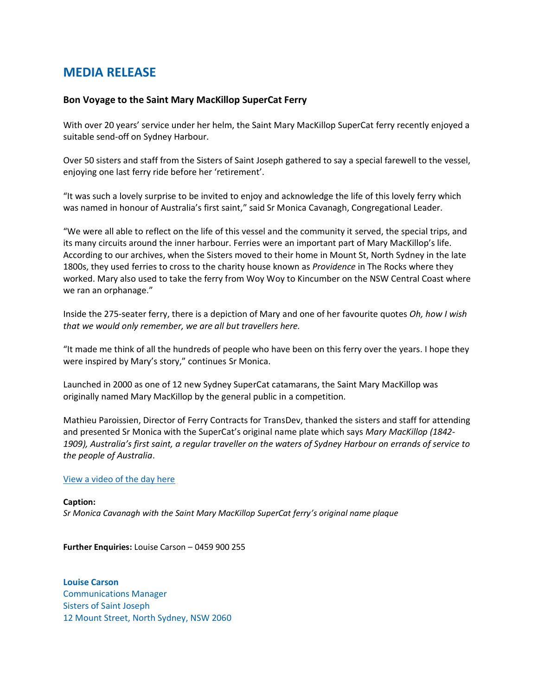## **MEDIA RELEASE**

## **Bon Voyage to the Saint Mary MacKillop SuperCat Ferry**

With over 20 years' service under her helm, the Saint Mary MacKillop SuperCat ferry recently enjoyed a suitable send-off on Sydney Harbour.

Over 50 sisters and staff from the Sisters of Saint Joseph gathered to say a special farewell to the vessel, enjoying one last ferry ride before her 'retirement'.

"It was such a lovely surprise to be invited to enjoy and acknowledge the life of this lovely ferry which was named in honour of Australia's first saint," said Sr Monica Cavanagh, Congregational Leader.

"We were all able to reflect on the life of this vessel and the community it served, the special trips, and its many circuits around the inner harbour. Ferries were an important part of Mary MacKillop's life. According to our archives, when the Sisters moved to their home in Mount St, North Sydney in the late 1800s, they used ferries to cross to the charity house known as *Providence* in The Rocks where they worked. Mary also used to take the ferry from Woy Woy to Kincumber on the NSW Central Coast where we ran an orphanage."

Inside the 275-seater ferry, there is a depiction of Mary and one of her favourite quotes *Oh, how I wish that we would only remember, we are all but travellers here.*

"It made me think of all the hundreds of people who have been on this ferry over the years. I hope they were inspired by Mary's story," continues Sr Monica.

Launched in 2000 as one of 12 new Sydney SuperCat catamarans, the Saint Mary MacKillop was originally named Mary MacKillop by the general public in a competition.

Mathieu Paroissien, Director of Ferry Contracts for TransDev, thanked the sisters and staff for attending and presented Sr Monica with the SuperCat's original name plate which says *Mary MacKillop (1842- 1909), Australia's first saint, a regular traveller on the waters of Sydney Harbour on errands of service to the people of Australia*.

## [View a video of the day here](https://www.facebook.com/NSWPublicTransport/videos/439110124465550)

**Caption:** *Sr Monica Cavanagh with the Saint Mary MacKillop SuperCat ferry's original name plaque*

**Further Enquiries:** Louise Carson – 0459 900 255

**Louise Carson** Communications Manager Sisters of Saint Joseph 12 Mount Street, North Sydney, NSW 2060